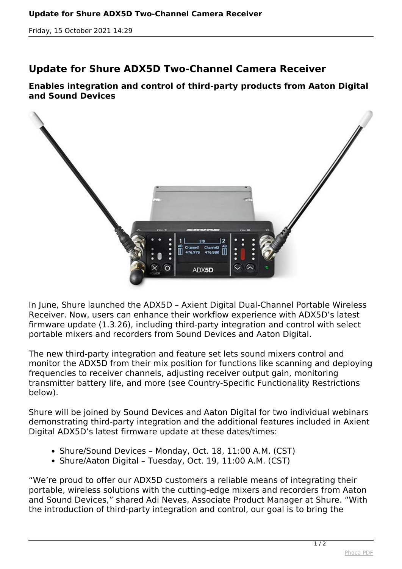*Friday, 15 October 2021 14:29*

## **Update for Shure ADX5D Two-Channel Camera Receiver**

**Enables integration and control of third-party products from Aaton Digital and Sound Devices**



*In June, Shure launched the ADX5D – Axient Digital Dual-Channel Portable Wireless Receiver. Now, users can enhance their workflow experience with ADX5D's latest firmware update (1.3.26), including third-party integration and control with select portable mixers and recorders from Sound Devices and Aaton Digital.*

*The new third-party integration and feature set lets sound mixers control and monitor the ADX5D from their mix position for functions like scanning and deploying frequencies to receiver channels, adjusting receiver output gain, monitoring transmitter battery life, and more (see Country-Specific Functionality Restrictions below).*

*Shure will be joined by Sound Devices and Aaton Digital for two individual webinars demonstrating third-party integration and the additional features included in Axient Digital ADX5D's latest firmware update at these dates/times:*

- *Shure/Sound Devices Monday, Oct. 18, 11:00 A.M. (CST)*
- *Shure/Aaton Digital Tuesday, Oct. 19, 11:00 A.M. (CST)*

*"We're proud to offer our ADX5D customers a reliable means of integrating their portable, wireless solutions with the cutting-edge mixers and recorders from Aaton and Sound Devices," shared Adi Neves, Associate Product Manager at Shure. "With the introduction of third-party integration and control, our goal is to bring the*